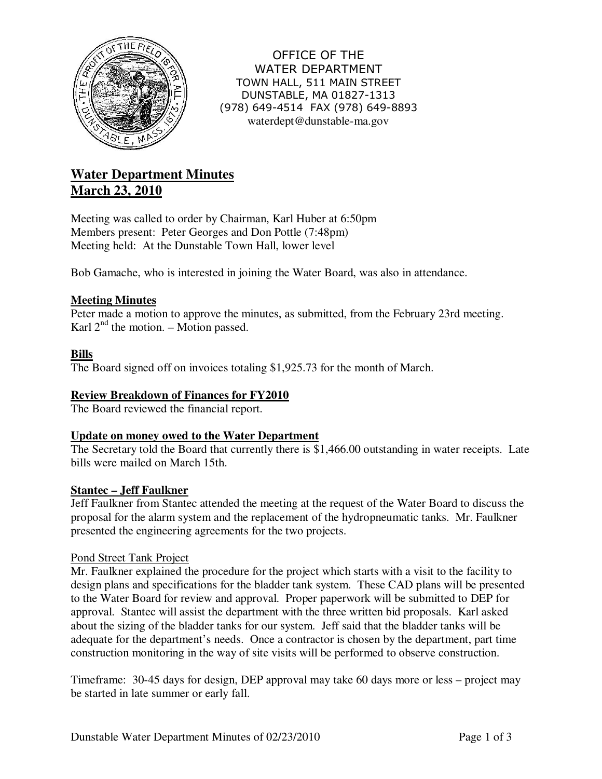

OFFICE OF THE WATER DEPARTMENT TOWN HALL, 511 MAIN STREET DUNSTABLE, MA 01827-1313 (978) 649-4514 FAX (978) 649-8893 waterdept@dunstable-ma.gov

# **Water Department Minutes March 23, 2010**

Meeting was called to order by Chairman, Karl Huber at 6:50pm Members present: Peter Georges and Don Pottle (7:48pm) Meeting held: At the Dunstable Town Hall, lower level

Bob Gamache, who is interested in joining the Water Board, was also in attendance.

## **Meeting Minutes**

Peter made a motion to approve the minutes, as submitted, from the February 23rd meeting. Karl  $2<sup>nd</sup>$  the motion. – Motion passed.

## **Bills**

The Board signed off on invoices totaling \$1,925.73 for the month of March.

## **Review Breakdown of Finances for FY2010**

The Board reviewed the financial report.

## **Update on money owed to the Water Department**

The Secretary told the Board that currently there is \$1,466.00 outstanding in water receipts. Late bills were mailed on March 15th.

## **Stantec – Jeff Faulkner**

Jeff Faulkner from Stantec attended the meeting at the request of the Water Board to discuss the proposal for the alarm system and the replacement of the hydropneumatic tanks. Mr. Faulkner presented the engineering agreements for the two projects.

#### Pond Street Tank Project

Mr. Faulkner explained the procedure for the project which starts with a visit to the facility to design plans and specifications for the bladder tank system. These CAD plans will be presented to the Water Board for review and approval. Proper paperwork will be submitted to DEP for approval. Stantec will assist the department with the three written bid proposals. Karl asked about the sizing of the bladder tanks for our system. Jeff said that the bladder tanks will be adequate for the department's needs. Once a contractor is chosen by the department, part time construction monitoring in the way of site visits will be performed to observe construction.

Timeframe: 30-45 days for design, DEP approval may take 60 days more or less – project may be started in late summer or early fall.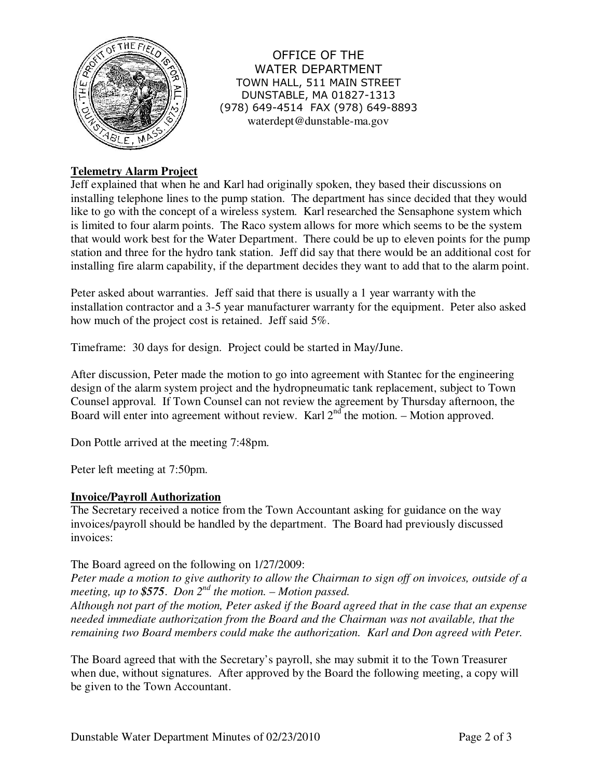

OFFICE OF THE WATER DEPARTMENT TOWN HALL, 511 MAIN STREET DUNSTABLE, MA 01827-1313 (978) 649-4514 FAX (978) 649-8893 waterdept@dunstable-ma.gov

# **Telemetry Alarm Project**

Jeff explained that when he and Karl had originally spoken, they based their discussions on installing telephone lines to the pump station. The department has since decided that they would like to go with the concept of a wireless system. Karl researched the Sensaphone system which is limited to four alarm points. The Raco system allows for more which seems to be the system that would work best for the Water Department. There could be up to eleven points for the pump station and three for the hydro tank station. Jeff did say that there would be an additional cost for installing fire alarm capability, if the department decides they want to add that to the alarm point.

Peter asked about warranties. Jeff said that there is usually a 1 year warranty with the installation contractor and a 3-5 year manufacturer warranty for the equipment. Peter also asked how much of the project cost is retained. Jeff said 5%.

Timeframe: 30 days for design. Project could be started in May/June.

After discussion, Peter made the motion to go into agreement with Stantec for the engineering design of the alarm system project and the hydropneumatic tank replacement, subject to Town Counsel approval. If Town Counsel can not review the agreement by Thursday afternoon, the Board will enter into agreement without review. Karl  $2<sup>nd</sup>$  the motion. – Motion approved.

Don Pottle arrived at the meeting 7:48pm.

Peter left meeting at 7:50pm.

## **Invoice/Payroll Authorization**

The Secretary received a notice from the Town Accountant asking for guidance on the way invoices/payroll should be handled by the department. The Board had previously discussed invoices:

The Board agreed on the following on 1/27/2009:

*Peter made a motion to give authority to allow the Chairman to sign off on invoices, outside of a meeting, up to \$575*. *Don 2nd the motion. – Motion passed.* 

*Although not part of the motion, Peter asked if the Board agreed that in the case that an expense needed immediate authorization from the Board and the Chairman was not available, that the remaining two Board members could make the authorization. Karl and Don agreed with Peter.* 

The Board agreed that with the Secretary's payroll, she may submit it to the Town Treasurer when due, without signatures. After approved by the Board the following meeting, a copy will be given to the Town Accountant.